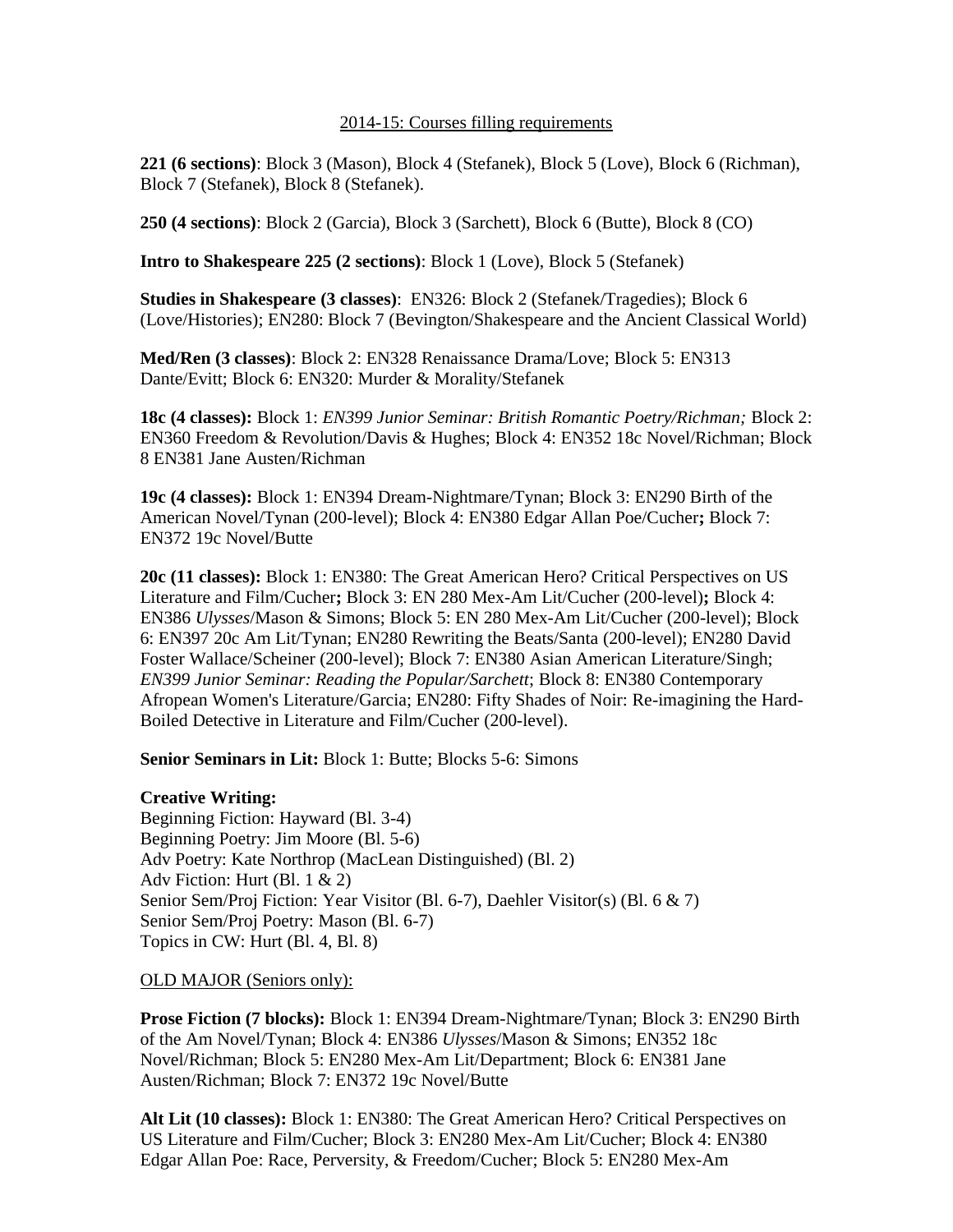### 2014-15: Courses filling requirements

**221 (6 sections)**: Block 3 (Mason), Block 4 (Stefanek), Block 5 (Love), Block 6 (Richman), Block 7 (Stefanek), Block 8 (Stefanek).

**250 (4 sections)**: Block 2 (Garcia), Block 3 (Sarchett), Block 6 (Butte), Block 8 (CO)

**Intro to Shakespeare 225 (2 sections)**: Block 1 (Love), Block 5 (Stefanek)

**Studies in Shakespeare (3 classes)**: EN326: Block 2 (Stefanek/Tragedies); Block 6 (Love/Histories); EN280: Block 7 (Bevington/Shakespeare and the Ancient Classical World)

**Med/Ren (3 classes)**: Block 2: EN328 Renaissance Drama/Love; Block 5: EN313 Dante/Evitt; Block 6: EN320: Murder & Morality/Stefanek

**18c (4 classes):** Block 1: *EN399 Junior Seminar: British Romantic Poetry/Richman;* Block 2: EN360 Freedom & Revolution/Davis & Hughes; Block 4: EN352 18c Novel/Richman; Block 8 EN381 Jane Austen/Richman

**19c (4 classes):** Block 1: EN394 Dream-Nightmare/Tynan; Block 3: EN290 Birth of the American Novel/Tynan (200-level); Block 4: EN380 Edgar Allan Poe/Cucher**;** Block 7: EN372 19c Novel/Butte

**20c (11 classes):** Block 1: EN380: The Great American Hero? Critical Perspectives on US Literature and Film/Cucher**;** Block 3: EN 280 Mex-Am Lit/Cucher (200-level)**;** Block 4: EN386 *Ulysses*/Mason & Simons; Block 5: EN 280 Mex-Am Lit/Cucher (200-level); Block 6: EN397 20c Am Lit/Tynan; EN280 Rewriting the Beats/Santa (200-level); EN280 David Foster Wallace/Scheiner (200-level); Block 7: EN380 Asian American Literature/Singh; *EN399 Junior Seminar: Reading the Popular/Sarchett*; Block 8: EN380 Contemporary Afropean Women's Literature/Garcia; EN280: Fifty Shades of Noir: Re-imagining the Hard-Boiled Detective in Literature and Film/Cucher (200-level).

**Senior Seminars in Lit:** Block 1: Butte; Blocks 5-6: Simons

### **Creative Writing:**

Beginning Fiction: Hayward (Bl. 3-4) Beginning Poetry: Jim Moore (Bl. 5-6) Adv Poetry: Kate Northrop (MacLean Distinguished) (Bl. 2) Adv Fiction: Hurt (Bl. 1 & 2) Senior Sem/Proj Fiction: Year Visitor (Bl. 6-7), Daehler Visitor(s) (Bl. 6 & 7) Senior Sem/Proj Poetry: Mason (Bl. 6-7) Topics in CW: Hurt (Bl. 4, Bl. 8)

OLD MAJOR (Seniors only):

**Prose Fiction (7 blocks):** Block 1: EN394 Dream-Nightmare/Tynan; Block 3: EN290 Birth of the Am Novel/Tynan; Block 4: EN386 *Ulysses*/Mason & Simons; EN352 18c Novel/Richman; Block 5: EN280 Mex-Am Lit/Department; Block 6: EN381 Jane Austen/Richman; Block 7: EN372 19c Novel/Butte

**Alt Lit (10 classes):** Block 1: EN380: The Great American Hero? Critical Perspectives on US Literature and Film/Cucher; Block 3: EN280 Mex-Am Lit/Cucher; Block 4: EN380 Edgar Allan Poe: Race, Perversity, & Freedom/Cucher; Block 5: EN280 Mex-Am